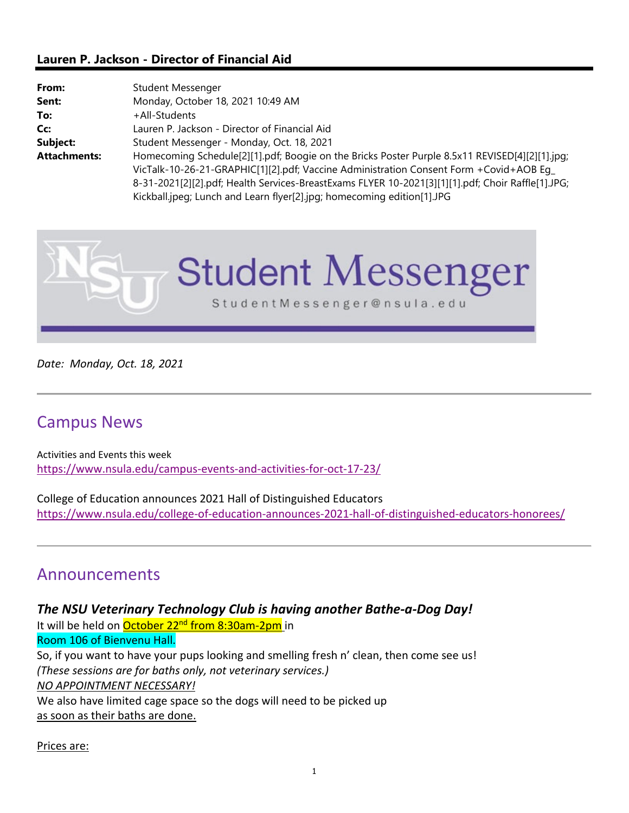### **Lauren P. Jackson - Director of Financial Aid**

| From:               | Student Messenger                                                                                 |  |  |
|---------------------|---------------------------------------------------------------------------------------------------|--|--|
| Sent:               | Monday, October 18, 2021 10:49 AM                                                                 |  |  |
| To:                 | +All-Students                                                                                     |  |  |
| Cc:                 | Lauren P. Jackson - Director of Financial Aid                                                     |  |  |
| Subject:            | Student Messenger - Monday, Oct. 18, 2021                                                         |  |  |
| <b>Attachments:</b> | Homecoming Schedule[2][1].pdf; Boogie on the Bricks Poster Purple 8.5x11 REVISED[4][2][1].jpg;    |  |  |
|                     | VicTalk-10-26-21-GRAPHIC[1][2].pdf; Vaccine Administration Consent Form +Covid+AOB Eq_            |  |  |
|                     | 8-31-2021[2][2].pdf; Health Services-BreastExams FLYER 10-2021[3][1][1].pdf; Choir Raffle[1].JPG; |  |  |
|                     | Kickball.jpeg; Lunch and Learn flyer[2].jpg; homecoming edition[1].JPG                            |  |  |



*Date: Monday, Oct. 18, 2021*

# Campus News

Activities and Events this week https://www.nsula.edu/campus-events-and-activities-for-oct-17-23/

College of Education announces 2021 Hall of Distinguished Educators https://www.nsula.edu/college-of-education-announces-2021-hall-of-distinguished-educators-honorees/

# Announcements

*The NSU Veterinary Technology Club is having another Bathe‐a‐Dog Day!* It will be held on October 22<sup>nd</sup> from 8:30am-2pm in Room 106 of Bienvenu Hall. So, if you want to have your pups looking and smelling fresh n' clean, then come see us! *(These sessions are for baths only, not veterinary services.) NO APPOINTMENT NECESSARY!* We also have limited cage space so the dogs will need to be picked up as soon as their baths are done.

Prices are: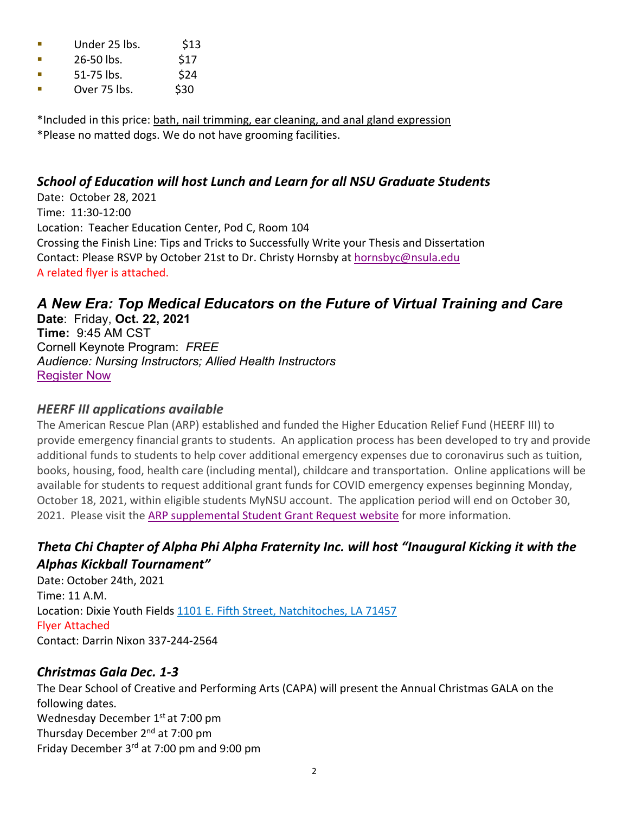- $\blacksquare$  Under 25 lbs.  $\blacksquare$  \$13
- $\blacksquare$  26-50 lbs. \$17
- $\blacksquare$  51-75 lbs. \$24
- $\blacksquare$  Over 75 lbs.  $\blacksquare$  \$30

\*Included in this price: bath, nail trimming, ear cleaning, and anal gland expression \*Please no matted dogs. We do not have grooming facilities.

## *School of Education will host Lunch and Learn for all NSU Graduate Students*

Date: October 28, 2021 Time: 11:30‐12:00 Location: Teacher Education Center, Pod C, Room 104 Crossing the Finish Line: Tips and Tricks to Successfully Write your Thesis and Dissertation Contact: Please RSVP by October 21st to Dr. Christy Hornsby at hornsbyc@nsula.edu A related flyer is attached.

# *A New Era: Top Medical Educators on the Future of Virtual Training and Care*

**Date**: Friday, **Oct. 22, 2021 Time:** 9:45 AM CST Cornell Keynote Program: *FREE Audience: Nursing Instructors; Allied Health Instructors* Register Now

## *HEERF III applications available*

The American Rescue Plan (ARP) established and funded the Higher Education Relief Fund (HEERF III) to provide emergency financial grants to students. An application process has been developed to try and provide additional funds to students to help cover additional emergency expenses due to coronavirus such as tuition, books, housing, food, health care (including mental), childcare and transportation. Online applications will be available for students to request additional grant funds for COVID emergency expenses beginning Monday, October 18, 2021, within eligible students MyNSU account. The application period will end on October 30, 2021. Please visit the ARP supplemental Student Grant Request website for more information.

## *Theta Chi Chapter of Alpha Phi Alpha Fraternity Inc. will host "Inaugural Kicking it with the Alphas Kickball Tournament"*

Date: October 24th, 2021 Time: 11 A.M. Location: Dixie Youth Fields 1101 E. Fifth Street, Natchitoches, LA 71457 Flyer Attached Contact: Darrin Nixon 337‐244‐2564

## *Christmas Gala Dec. 1‐3*

The Dear School of Creative and Performing Arts (CAPA) will present the Annual Christmas GALA on the following dates. Wednesday December 1<sup>st</sup> at 7:00 pm Thursday December 2<sup>nd</sup> at 7:00 pm Friday December 3rd at 7:00 pm and 9:00 pm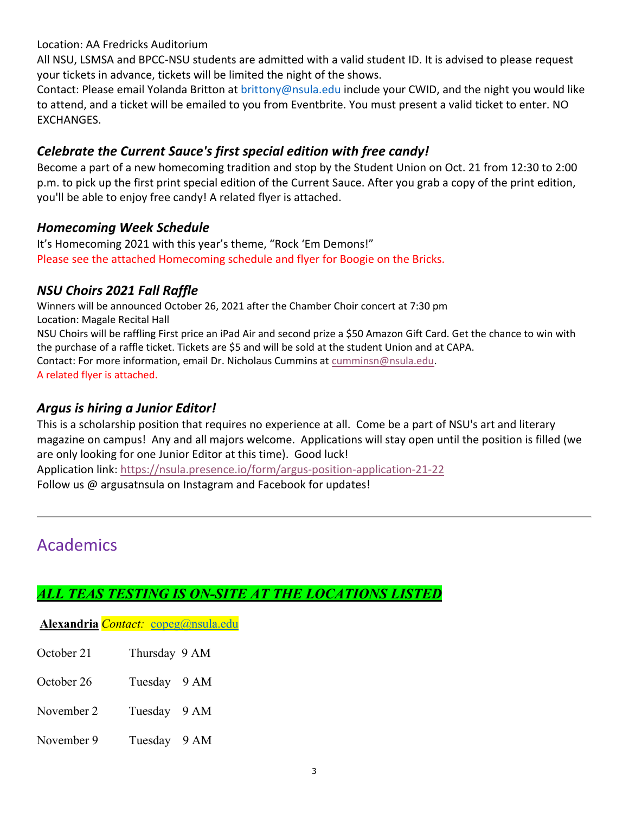Location: AA Fredricks Auditorium

All NSU, LSMSA and BPCC‐NSU students are admitted with a valid student ID. It is advised to please request your tickets in advance, tickets will be limited the night of the shows.

Contact: Please email Yolanda Britton at brittony@nsula.edu include your CWID, and the night you would like to attend, and a ticket will be emailed to you from Eventbrite. You must present a valid ticket to enter. NO EXCHANGES.

## *Celebrate the Current Sauce's first special edition with free candy!*

Become a part of a new homecoming tradition and stop by the Student Union on Oct. 21 from 12:30 to 2:00 p.m. to pick up the first print special edition of the Current Sauce. After you grab a copy of the print edition, you'll be able to enjoy free candy! A related flyer is attached.

## *Homecoming Week Schedule*

It's Homecoming 2021 with this year's theme, "Rock 'Em Demons!" Please see the attached Homecoming schedule and flyer for Boogie on the Bricks.

## *NSU Choirs 2021 Fall Raffle*

Winners will be announced October 26, 2021 after the Chamber Choir concert at 7:30 pm Location: Magale Recital Hall NSU Choirs will be raffling First price an iPad Air and second prize a \$50 Amazon Gift Card. Get the chance to win with the purchase of a raffle ticket. Tickets are \$5 and will be sold at the student Union and at CAPA. Contact: For more information, email Dr. Nicholaus Cummins at cumminsn@nsula.edu. A related flyer is attached.

## *Argus is hiring a Junior Editor!*

This is a scholarship position that requires no experience at all. Come be a part of NSU's art and literary magazine on campus! Any and all majors welcome. Applications will stay open until the position is filled (we are only looking for one Junior Editor at this time). Good luck!

Application link: https://nsula.presence.io/form/argus‐position‐application‐21‐22

Follow us @ argusatnsula on Instagram and Facebook for updates!

# Academics

## *ALL TEAS TESTING IS ON-SITE AT THE LOCATIONS LISTED*

**Alexandria** *Contact:* copeg@nsula.edu

- October 21 Thursday 9 AM
- October 26 Tuesday 9 AM
- November 2 Tuesday 9 AM
- November 9 Tuesday 9 AM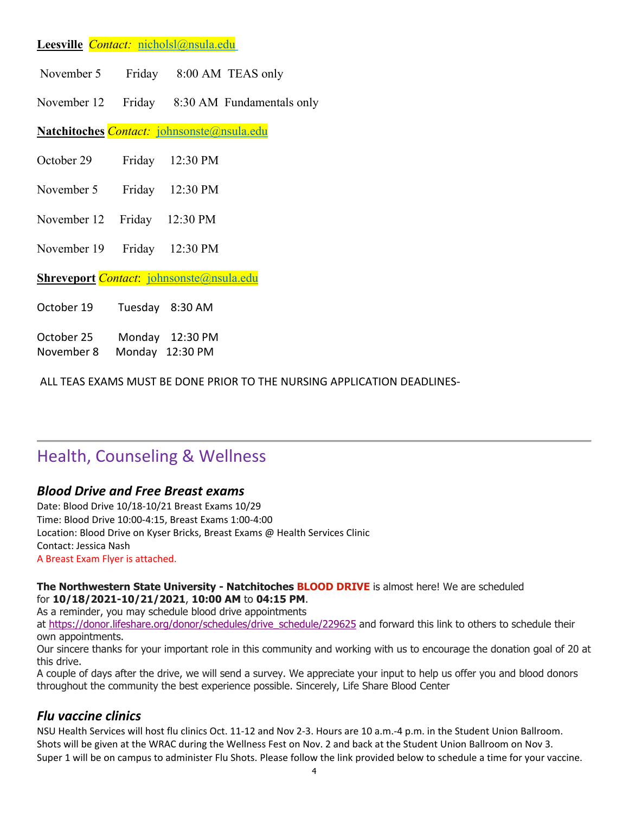### **Leesville** *Contact:* nicholsl@nsula.edu

| November 5 | Friday | 8:00 AM TEAS only |  |
|------------|--------|-------------------|--|
|------------|--------|-------------------|--|

November 12 Friday 8:30 AM Fundamentals only

**Natchitoches** *Contact:* johnsonste@nsula.edu

| October 29 | Friday | 12:30 PM |
|------------|--------|----------|
|------------|--------|----------|

- November 5 Friday 12:30 PM
- November 12 Friday 12:30 PM
- November 19 Friday 12:30 PM

**Shreveport** *Contact*: johnsonste@nsula.edu

| October 19 |  | Tuesday 8:30 AM |
|------------|--|-----------------|
|------------|--|-----------------|

October 25        Monday 12:30 PM November 8      Monday 12:30 PM

ALL TEAS EXAMS MUST BE DONE PRIOR TO THE NURSING APPLICATION DEADLINES‐

# Health, Counseling & Wellness

### *Blood Drive and Free Breast exams*

Date: Blood Drive 10/18‐10/21 Breast Exams 10/29 Time: Blood Drive 10:00‐4:15, Breast Exams 1:00‐4:00 Location: Blood Drive on Kyser Bricks, Breast Exams @ Health Services Clinic Contact: Jessica Nash A Breast Exam Flyer is attached.

#### **The Northwestern State University - Natchitoches BLOOD DRIVE** is almost here! We are scheduled for **10/18/2021-10/21/2021**, **10:00 AM** to **04:15 PM**.

As a reminder, you may schedule blood drive appointments

at https://donor.lifeshare.org/donor/schedules/drive\_schedule/229625 and forward this link to others to schedule their own appointments.

Our sincere thanks for your important role in this community and working with us to encourage the donation goal of 20 at this drive.

A couple of days after the drive, we will send a survey. We appreciate your input to help us offer you and blood donors throughout the community the best experience possible. Sincerely, Life Share Blood Center

### *Flu vaccine clinics*

NSU Health Services will host flu clinics Oct. 11‐12 and Nov 2‐3. Hours are 10 a.m.‐4 p.m. in the Student Union Ballroom. Shots will be given at the WRAC during the Wellness Fest on Nov. 2 and back at the Student Union Ballroom on Nov 3. Super 1 will be on campus to administer Flu Shots. Please follow the link provided below to schedule a time for your vaccine.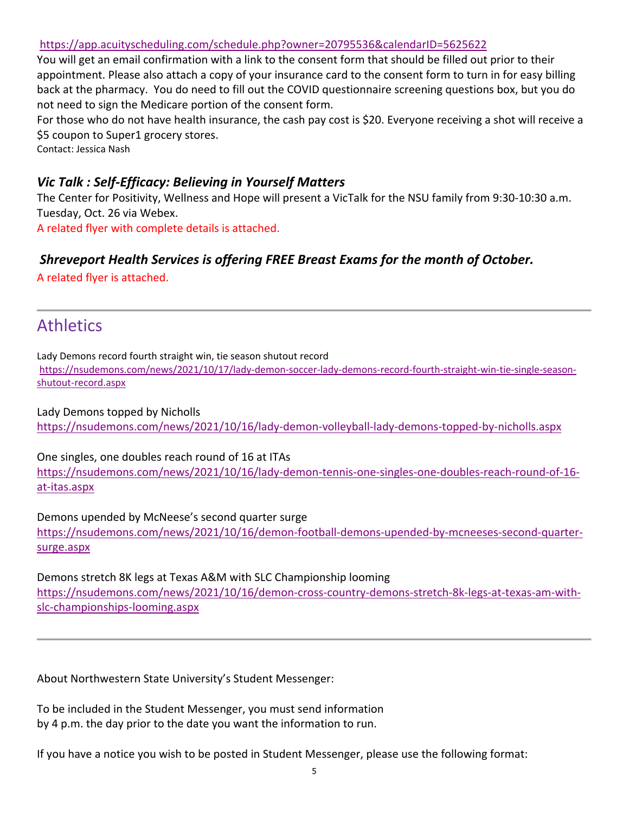### https://app.acuityscheduling.com/schedule.php?owner=20795536&calendarID=5625622

You will get an email confirmation with a link to the consent form that should be filled out prior to their appointment. Please also attach a copy of your insurance card to the consent form to turn in for easy billing back at the pharmacy. You do need to fill out the COVID questionnaire screening questions box, but you do not need to sign the Medicare portion of the consent form.

For those who do not have health insurance, the cash pay cost is \$20. Everyone receiving a shot will receive a \$5 coupon to Super1 grocery stores.

Contact: Jessica Nash

## *Vic Talk : Self‐Efficacy: Believing in Yourself Matters*

The Center for Positivity, Wellness and Hope will present a VicTalk for the NSU family from 9:30‐10:30 a.m. Tuesday, Oct. 26 via Webex.

A related flyer with complete details is attached.

## *Shreveport Health Services is offering FREE Breast Exams for the month of October.*

A related flyer is attached.

# **Athletics**

Lady Demons record fourth straight win, tie season shutout record https://nsudemons.com/news/2021/10/17/lady‐demon‐soccer‐lady‐demons‐record‐fourth‐straight‐win‐tie‐single‐season‐ shutout‐record.aspx

Lady Demons topped by Nicholls https://nsudemons.com/news/2021/10/16/lady‐demon‐volleyball‐lady‐demons‐topped‐by‐nicholls.aspx

One singles, one doubles reach round of 16 at ITAs https://nsudemons.com/news/2021/10/16/lady‐demon‐tennis‐one‐singles‐one‐doubles‐reach‐round‐of‐16‐ at‐itas.aspx

Demons upended by McNeese's second quarter surge https://nsudemons.com/news/2021/10/16/demon-football-demons-upended-by-mcneeses-second-quarter-

surge.aspx

Demons stretch 8K legs at Texas A&M with SLC Championship looming https://nsudemons.com/news/2021/10/16/demon-cross-country-demons-stretch-8k-legs-at-texas-am-withslc‐championships‐looming.aspx

About Northwestern State University's Student Messenger:

To be included in the Student Messenger, you must send information by 4 p.m. the day prior to the date you want the information to run.

If you have a notice you wish to be posted in Student Messenger, please use the following format: